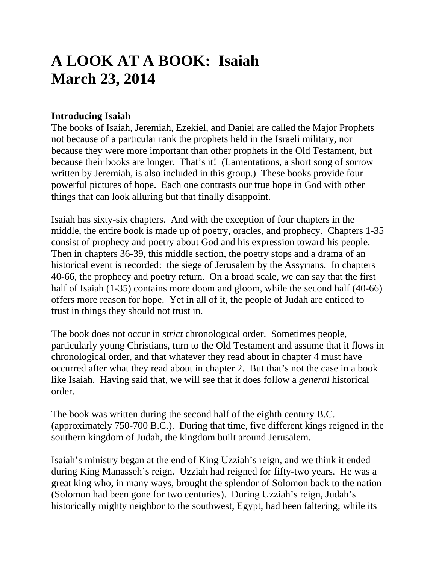# **A LOOK AT A BOOK: Isaiah March 23, 2014**

# **Introducing Isaiah**

The books of Isaiah, Jeremiah, Ezekiel, and Daniel are called the Major Prophets not because of a particular rank the prophets held in the Israeli military, nor because they were more important than other prophets in the Old Testament, but because their books are longer. That's it! (Lamentations, a short song of sorrow written by Jeremiah, is also included in this group.) These books provide four powerful pictures of hope. Each one contrasts our true hope in God with other things that can look alluring but that finally disappoint.

Isaiah has sixty-six chapters. And with the exception of four chapters in the middle, the entire book is made up of poetry, oracles, and prophecy. Chapters 1-35 consist of prophecy and poetry about God and his expression toward his people. Then in chapters 36-39, this middle section, the poetry stops and a drama of an historical event is recorded: the siege of Jerusalem by the Assyrians. In chapters 40-66, the prophecy and poetry return. On a broad scale, we can say that the first half of Isaiah (1-35) contains more doom and gloom, while the second half (40-66) offers more reason for hope. Yet in all of it, the people of Judah are enticed to trust in things they should not trust in.

The book does not occur in *strict* chronological order. Sometimes people, particularly young Christians, turn to the Old Testament and assume that it flows in chronological order, and that whatever they read about in chapter 4 must have occurred after what they read about in chapter 2. But that's not the case in a book like Isaiah. Having said that, we will see that it does follow a *general* historical order.

The book was written during the second half of the eighth century B.C. (approximately 750-700 B.C.). During that time, five different kings reigned in the southern kingdom of Judah, the kingdom built around Jerusalem.

Isaiah's ministry began at the end of King Uzziah's reign, and we think it ended during King Manasseh's reign. Uzziah had reigned for fifty-two years. He was a great king who, in many ways, brought the splendor of Solomon back to the nation (Solomon had been gone for two centuries). During Uzziah's reign, Judah's historically mighty neighbor to the southwest, Egypt, had been faltering; while its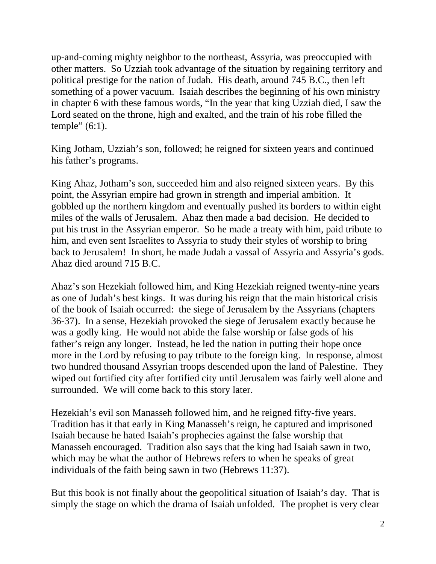up-and-coming mighty neighbor to the northeast, Assyria, was preoccupied with other matters. So Uzziah took advantage of the situation by regaining territory and political prestige for the nation of Judah. His death, around 745 B.C., then left something of a power vacuum. Isaiah describes the beginning of his own ministry in chapter 6 with these famous words, "In the year that king Uzziah died, I saw the Lord seated on the throne, high and exalted, and the train of his robe filled the temple" (6:1).

King Jotham, Uzziah's son, followed; he reigned for sixteen years and continued his father's programs.

King Ahaz, Jotham's son, succeeded him and also reigned sixteen years. By this point, the Assyrian empire had grown in strength and imperial ambition. It gobbled up the northern kingdom and eventually pushed its borders to within eight miles of the walls of Jerusalem. Ahaz then made a bad decision. He decided to put his trust in the Assyrian emperor. So he made a treaty with him, paid tribute to him, and even sent Israelites to Assyria to study their styles of worship to bring back to Jerusalem! In short, he made Judah a vassal of Assyria and Assyria's gods. Ahaz died around 715 B.C.

Ahaz's son Hezekiah followed him, and King Hezekiah reigned twenty-nine years as one of Judah's best kings. It was during his reign that the main historical crisis of the book of Isaiah occurred: the siege of Jerusalem by the Assyrians (chapters 36-37). In a sense, Hezekiah provoked the siege of Jerusalem exactly because he was a godly king. He would not abide the false worship or false gods of his father's reign any longer. Instead, he led the nation in putting their hope once more in the Lord by refusing to pay tribute to the foreign king. In response, almost two hundred thousand Assyrian troops descended upon the land of Palestine. They wiped out fortified city after fortified city until Jerusalem was fairly well alone and surrounded. We will come back to this story later.

Hezekiah's evil son Manasseh followed him, and he reigned fifty-five years. Tradition has it that early in King Manasseh's reign, he captured and imprisoned Isaiah because he hated Isaiah's prophecies against the false worship that Manasseh encouraged. Tradition also says that the king had Isaiah sawn in two, which may be what the author of Hebrews refers to when he speaks of great individuals of the faith being sawn in two (Hebrews 11:37).

But this book is not finally about the geopolitical situation of Isaiah's day. That is simply the stage on which the drama of Isaiah unfolded. The prophet is very clear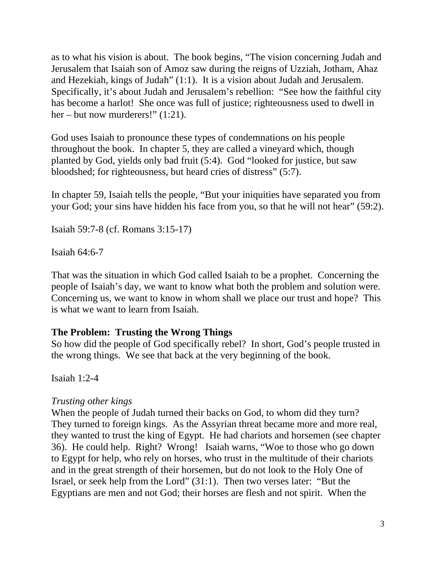as to what his vision is about. The book begins, "The vision concerning Judah and Jerusalem that Isaiah son of Amoz saw during the reigns of Uzziah, Jotham, Ahaz and Hezekiah, kings of Judah" (1:1). It is a vision about Judah and Jerusalem. Specifically, it's about Judah and Jerusalem's rebellion: "See how the faithful city has become a harlot! She once was full of justice; righteousness used to dwell in her – but now murderers!" (1:21).

God uses Isaiah to pronounce these types of condemnations on his people throughout the book. In chapter 5, they are called a vineyard which, though planted by God, yields only bad fruit (5:4). God "looked for justice, but saw bloodshed; for righteousness, but heard cries of distress" (5:7).

In chapter 59, Isaiah tells the people, "But your iniquities have separated you from your God; your sins have hidden his face from you, so that he will not hear" (59:2).

Isaiah 59:7-8 (cf. Romans 3:15-17)

Isaiah 64:6-7

That was the situation in which God called Isaiah to be a prophet. Concerning the people of Isaiah's day, we want to know what both the problem and solution were. Concerning us, we want to know in whom shall we place our trust and hope? This is what we want to learn from Isaiah.

## **The Problem: Trusting the Wrong Things**

So how did the people of God specifically rebel? In short, God's people trusted in the wrong things. We see that back at the very beginning of the book.

Isaiah 1:2-4

## *Trusting other kings*

When the people of Judah turned their backs on God, to whom did they turn? They turned to foreign kings. As the Assyrian threat became more and more real, they wanted to trust the king of Egypt. He had chariots and horsemen (see chapter 36). He could help. Right? Wrong! Isaiah warns, "Woe to those who go down to Egypt for help, who rely on horses, who trust in the multitude of their chariots and in the great strength of their horsemen, but do not look to the Holy One of Israel, or seek help from the Lord" (31:1). Then two verses later: "But the Egyptians are men and not God; their horses are flesh and not spirit. When the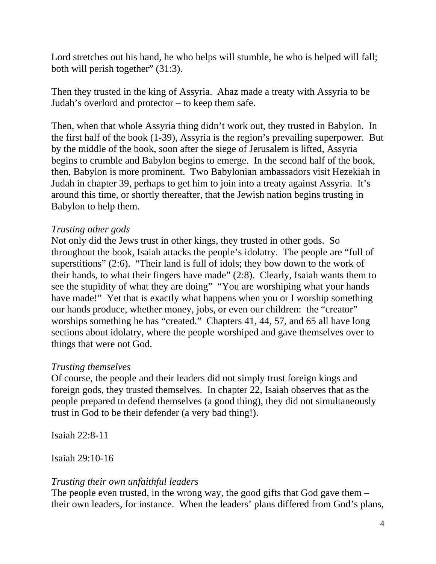Lord stretches out his hand, he who helps will stumble, he who is helped will fall; both will perish together" (31:3).

Then they trusted in the king of Assyria. Ahaz made a treaty with Assyria to be Judah's overlord and protector – to keep them safe.

Then, when that whole Assyria thing didn't work out, they trusted in Babylon. In the first half of the book (1-39), Assyria is the region's prevailing superpower. But by the middle of the book, soon after the siege of Jerusalem is lifted, Assyria begins to crumble and Babylon begins to emerge. In the second half of the book, then, Babylon is more prominent. Two Babylonian ambassadors visit Hezekiah in Judah in chapter 39, perhaps to get him to join into a treaty against Assyria. It's around this time, or shortly thereafter, that the Jewish nation begins trusting in Babylon to help them.

# *Trusting other gods*

Not only did the Jews trust in other kings, they trusted in other gods. So throughout the book, Isaiah attacks the people's idolatry. The people are "full of superstitions" (2:6). "Their land is full of idols; they bow down to the work of their hands, to what their fingers have made" (2:8). Clearly, Isaiah wants them to see the stupidity of what they are doing" "You are worshiping what your hands have made!" Yet that is exactly what happens when you or I worship something our hands produce, whether money, jobs, or even our children: the "creator" worships something he has "created." Chapters 41, 44, 57, and 65 all have long sections about idolatry, where the people worshiped and gave themselves over to things that were not God.

## *Trusting themselves*

Of course, the people and their leaders did not simply trust foreign kings and foreign gods, they trusted themselves. In chapter 22, Isaiah observes that as the people prepared to defend themselves (a good thing), they did not simultaneously trust in God to be their defender (a very bad thing!).

Isaiah 22:8-11

Isaiah 29:10-16

## *Trusting their own unfaithful leaders*

The people even trusted, in the wrong way, the good gifts that God gave them – their own leaders, for instance. When the leaders' plans differed from God's plans,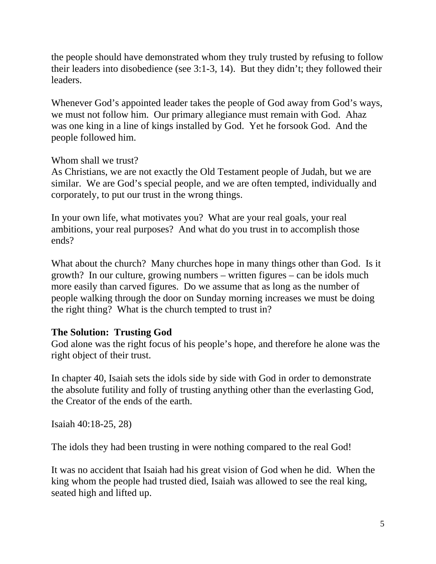the people should have demonstrated whom they truly trusted by refusing to follow their leaders into disobedience (see 3:1-3, 14). But they didn't; they followed their leaders.

Whenever God's appointed leader takes the people of God away from God's ways, we must not follow him. Our primary allegiance must remain with God. Ahaz was one king in a line of kings installed by God. Yet he forsook God. And the people followed him.

## Whom shall we trust?

As Christians, we are not exactly the Old Testament people of Judah, but we are similar. We are God's special people, and we are often tempted, individually and corporately, to put our trust in the wrong things.

In your own life, what motivates you? What are your real goals, your real ambitions, your real purposes? And what do you trust in to accomplish those ends?

What about the church? Many churches hope in many things other than God. Is it growth? In our culture, growing numbers – written figures – can be idols much more easily than carved figures. Do we assume that as long as the number of people walking through the door on Sunday morning increases we must be doing the right thing? What is the church tempted to trust in?

# **The Solution: Trusting God**

God alone was the right focus of his people's hope, and therefore he alone was the right object of their trust.

In chapter 40, Isaiah sets the idols side by side with God in order to demonstrate the absolute futility and folly of trusting anything other than the everlasting God, the Creator of the ends of the earth.

Isaiah 40:18-25, 28)

The idols they had been trusting in were nothing compared to the real God!

It was no accident that Isaiah had his great vision of God when he did. When the king whom the people had trusted died, Isaiah was allowed to see the real king, seated high and lifted up.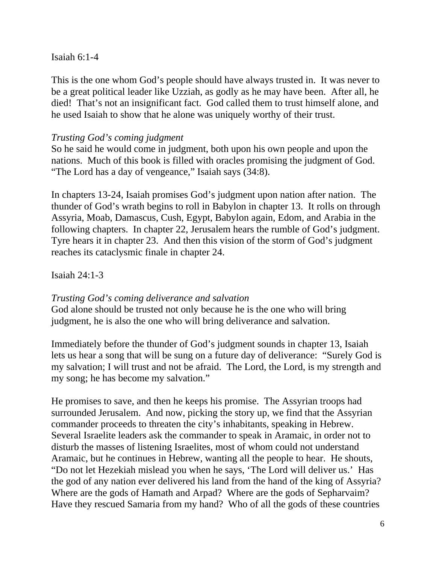# Isaiah 6:1-4

This is the one whom God's people should have always trusted in. It was never to be a great political leader like Uzziah, as godly as he may have been. After all, he died! That's not an insignificant fact. God called them to trust himself alone, and he used Isaiah to show that he alone was uniquely worthy of their trust.

# *Trusting God's coming judgment*

So he said he would come in judgment, both upon his own people and upon the nations. Much of this book is filled with oracles promising the judgment of God. "The Lord has a day of vengeance," Isaiah says (34:8).

In chapters 13-24, Isaiah promises God's judgment upon nation after nation. The thunder of God's wrath begins to roll in Babylon in chapter 13. It rolls on through Assyria, Moab, Damascus, Cush, Egypt, Babylon again, Edom, and Arabia in the following chapters. In chapter 22, Jerusalem hears the rumble of God's judgment. Tyre hears it in chapter 23. And then this vision of the storm of God's judgment reaches its cataclysmic finale in chapter 24.

Isaiah 24:1-3

# *Trusting God's coming deliverance and salvation*

God alone should be trusted not only because he is the one who will bring judgment, he is also the one who will bring deliverance and salvation.

Immediately before the thunder of God's judgment sounds in chapter 13, Isaiah lets us hear a song that will be sung on a future day of deliverance: "Surely God is my salvation; I will trust and not be afraid. The Lord, the Lord, is my strength and my song; he has become my salvation."

He promises to save, and then he keeps his promise. The Assyrian troops had surrounded Jerusalem. And now, picking the story up, we find that the Assyrian commander proceeds to threaten the city's inhabitants, speaking in Hebrew. Several Israelite leaders ask the commander to speak in Aramaic, in order not to disturb the masses of listening Israelites, most of whom could not understand Aramaic, but he continues in Hebrew, wanting all the people to hear. He shouts, "Do not let Hezekiah mislead you when he says, 'The Lord will deliver us.' Has the god of any nation ever delivered his land from the hand of the king of Assyria? Where are the gods of Hamath and Arpad? Where are the gods of Sepharvaim? Have they rescued Samaria from my hand? Who of all the gods of these countries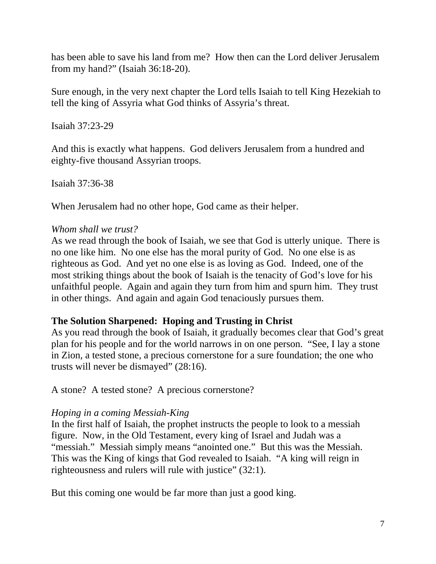has been able to save his land from me? How then can the Lord deliver Jerusalem from my hand?" (Isaiah 36:18-20).

Sure enough, in the very next chapter the Lord tells Isaiah to tell King Hezekiah to tell the king of Assyria what God thinks of Assyria's threat.

Isaiah 37:23-29

And this is exactly what happens. God delivers Jerusalem from a hundred and eighty-five thousand Assyrian troops.

Isaiah 37:36-38

When Jerusalem had no other hope, God came as their helper.

#### *Whom shall we trust?*

As we read through the book of Isaiah, we see that God is utterly unique. There is no one like him. No one else has the moral purity of God. No one else is as righteous as God. And yet no one else is as loving as God. Indeed, one of the most striking things about the book of Isaiah is the tenacity of God's love for his unfaithful people. Again and again they turn from him and spurn him. They trust in other things. And again and again God tenaciously pursues them.

## **The Solution Sharpened: Hoping and Trusting in Christ**

As you read through the book of Isaiah, it gradually becomes clear that God's great plan for his people and for the world narrows in on one person. "See, I lay a stone in Zion, a tested stone, a precious cornerstone for a sure foundation; the one who trusts will never be dismayed" (28:16).

A stone? A tested stone? A precious cornerstone?

## *Hoping in a coming Messiah-King*

In the first half of Isaiah, the prophet instructs the people to look to a messiah figure. Now, in the Old Testament, every king of Israel and Judah was a "messiah." Messiah simply means "anointed one." But this was the Messiah. This was the King of kings that God revealed to Isaiah. "A king will reign in righteousness and rulers will rule with justice" (32:1).

But this coming one would be far more than just a good king.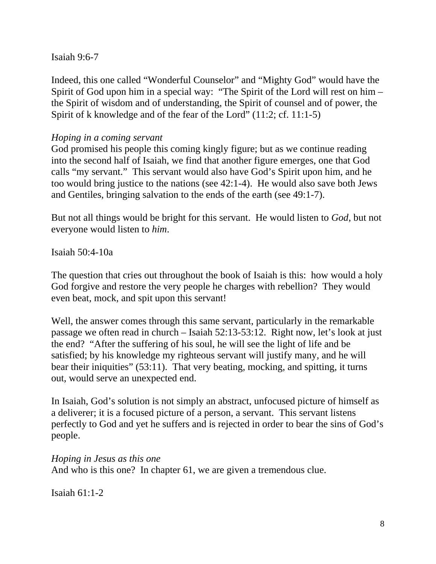Isaiah 9:6-7

Indeed, this one called "Wonderful Counselor" and "Mighty God" would have the Spirit of God upon him in a special way: "The Spirit of the Lord will rest on him – the Spirit of wisdom and of understanding, the Spirit of counsel and of power, the Spirit of k knowledge and of the fear of the Lord" (11:2; cf. 11:1-5)

# *Hoping in a coming servant*

God promised his people this coming kingly figure; but as we continue reading into the second half of Isaiah, we find that another figure emerges, one that God calls "my servant." This servant would also have God's Spirit upon him, and he too would bring justice to the nations (see 42:1-4). He would also save both Jews and Gentiles, bringing salvation to the ends of the earth (see 49:1-7).

But not all things would be bright for this servant. He would listen to *God*, but not everyone would listen to *him*.

Isaiah 50:4-10a

The question that cries out throughout the book of Isaiah is this: how would a holy God forgive and restore the very people he charges with rebellion? They would even beat, mock, and spit upon this servant!

Well, the answer comes through this same servant, particularly in the remarkable passage we often read in church – Isaiah 52:13-53:12. Right now, let's look at just the end? "After the suffering of his soul, he will see the light of life and be satisfied; by his knowledge my righteous servant will justify many, and he will bear their iniquities" (53:11). That very beating, mocking, and spitting, it turns out, would serve an unexpected end.

In Isaiah, God's solution is not simply an abstract, unfocused picture of himself as a deliverer; it is a focused picture of a person, a servant. This servant listens perfectly to God and yet he suffers and is rejected in order to bear the sins of God's people.

#### *Hoping in Jesus as this one*  And who is this one? In chapter 61, we are given a tremendous clue.

Isaiah 61:1-2